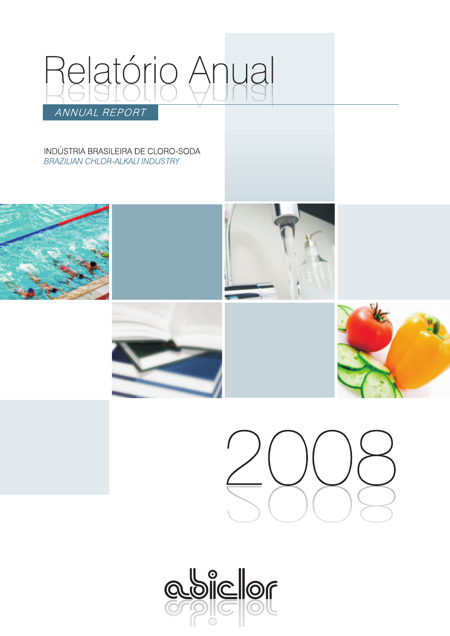

INDÚSTRIA BRASILEIRA DE CLORO-SODA **BRAZILIAN CHLOR-ALKALI INDUSTRY** 











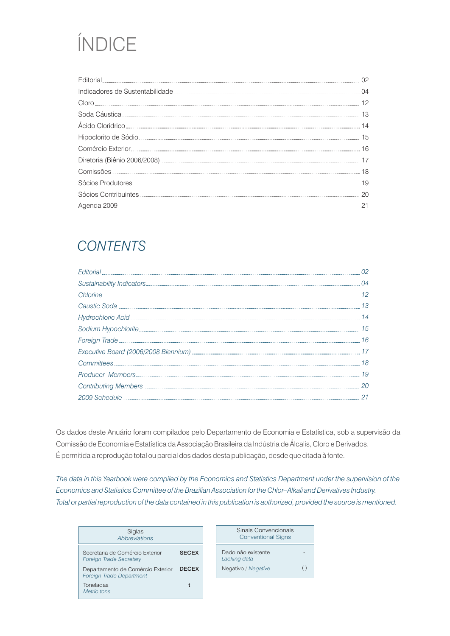# ÍNDICE

| <b>Fditorial</b> |    |
|------------------|----|
|                  |    |
| Cloro.           |    |
|                  | 13 |
|                  | 14 |
|                  | 15 |
|                  | 16 |
|                  |    |
|                  | 18 |
|                  | 19 |
|                  |    |
|                  |    |

### *CONTENTS*

| 15 |
|----|
| 16 |
|    |
|    |
|    |
|    |
|    |

Os dados deste Anuário foram compilados pelo Departamento de Economia e Estatística, sob a supervisão da Comissão de Economia e Estatística da Associação Brasileira da Indústria de Álcalis, Cloro e Derivados. É permitida a reprodução total ou parcial dos dados desta publicação, desde que citada à fonte.

*The data in this Yearbook were compiled by the Economics and Statistics Department under the supervision of the Economics and Statistics Committee of the Brazilian Association for the Chlor–Alkali and Derivatives Industry. Total or partial reproduction of the data contained in this publication is authorized, provided the source is mentioned.*

| Siglas<br><b>Abbreviations</b>                                       |              |
|----------------------------------------------------------------------|--------------|
| Secretaria de Comércio Exterior<br><b>Foreign Trade Secretary</b>    | <b>SECEX</b> |
| Departamento de Comércio Exterior<br><b>Foreign Trade Department</b> | <b>DECEX</b> |
| Toneladas<br>Metric tons                                             |              |

| Sinais Convencionais<br><b>Conventional Signs</b> |   |
|---------------------------------------------------|---|
| Dado não existente<br>Lacking data                |   |
| Negativo / Negative                               | ( |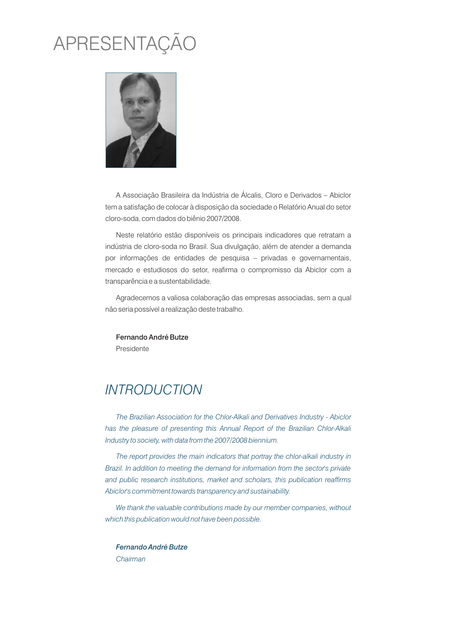# APRESENTAÇÃO



A Associação Brasileira da Indústria de Álcalis, Cloro e Derivados – Abiclor tem a satisfação de colocar à disposição da sociedade o Relatório Anual do setor cloro-soda, com dados do biênio 2007/2008.

Neste relatório estão disponíveis os principais indicadores que retratam a indústria de cloro-soda no Brasil. Sua divulgação, além de atender a demanda por informações de entidades de pesquisa – privadas e governamentais, mercado e estudiosos do setor, reafirma o compromisso da Abiclor com a transparência e a sustentabilidade.

Agradecemos a valiosa colaboração das empresas associadas, sem a qual não seria possível a realização deste trabalho.

Fernando André Butze Presidente

### *INTRODUCTION*

*The Brazilian Association for the Chlor-Alkali and Derivatives Industry - Abiclor*  has the pleasure of presenting this Annual Report of the Brazilian Chlor-Alkali *Industry to society, with data from the 2007/2008 biennium.*

*The report provides the main indicators that portray the chlor-alkali industry in Brazil. In addition to meeting the demand for information from the sector's private and public research institutions, market and scholars, this publication reaffirms Abiclor's commitment towards transparency and sustainability.*

*We thank the valuable contributions made by our member companies, without which this publication would not have been possible.*

*Fernando André Butze Chairman*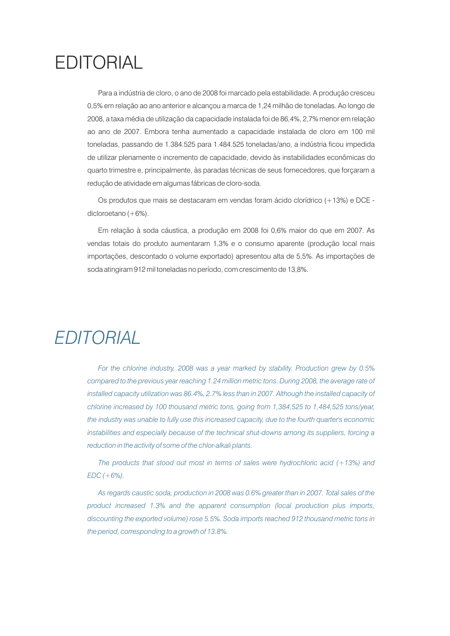# EDITORIAL

Para a indústria de cloro, o ano de 2008 foi marcado pela estabilidade. A produção cresceu 0,5% em relação ao ano anterior e alcançou a marca de 1,24 milhão de toneladas. Ao longo de 2008, a taxa média de utilização da capacidade instalada foi de 86,4%, 2,7% menor em relação ao ano de 2007. Embora tenha aumentado a capacidade instalada de cloro em 100 mil toneladas, passando de 1.384.525 para 1.484.525 toneladas/ano, a indústria ficou impedida de utilizar plenamente o incremento de capacidade, devido às instabilidades econômicas do quarto trimestre e, principalmente, às paradas técnicas de seus fornecedores, que forçaram a redução de atividade em algumas fábricas de cloro-soda.

Os produtos que mais se destacaram em vendas foram ácido clorídrico (+13%) e DCE dicloroetano (+6%).

Em relação à soda cáustica, a produção em 2008 foi 0,6% maior do que em 2007. As vendas totais do produto aumentaram 1,3% e o consumo aparente (produção local mais importações, descontado o volume exportado) apresentou alta de 5,5%. As importações de soda atingiram 912 mil toneladas no período, com crescimento de 13,8%.

## *EDITORIAL*

*For the chlorine industry, 2008 was a year marked by stability. Production grew by 0.5% compared to the previous year reaching 1.24 million metric tons. During 2008, the average rate of installed capacity utilization was 86.4%, 2.7% less than in 2007. Although the installed capacity of chlorine increased by 100 thousand metric tons, going from 1,384,525 to 1,484,525 tons/year, the industry was unable to fully use this increased capacity, due to the fourth quarter's economic instabilities and especially because of the technical shut-downs among its suppliers, forcing a reduction in the activity of some of the chlor-alkali plants.*

*The products that stood out most in terms of sales were hydrochloric acid (+13%) and EDC (+6%).* 

*As regards caustic soda, production in 2008 was 0.6% greater than in 2007. Total sales of the product increased 1.3% and the apparent consumption (local production plus imports, discounting the exported volume) rose 5.5%. Soda imports reached 912 thousand metric tons in the period, corresponding to a growth of 13.8%.*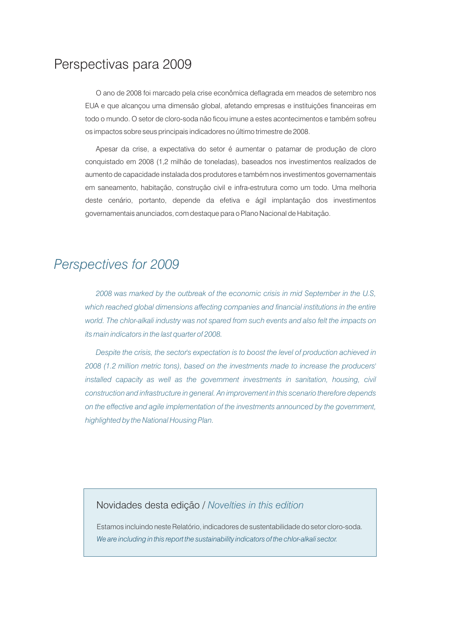### Perspectivas para 2009

O ano de 2008 foi marcado pela crise econômica deflagrada em meados de setembro nos EUA e que alcançou uma dimensão global, afetando empresas e instituições financeiras em todo o mundo. O setor de cloro-soda não ficou imune a estes acontecimentos e também sofreu os impactos sobre seus principais indicadores no último trimestre de 2008.

Apesar da crise, a expectativa do setor é aumentar o patamar de produção de cloro conquistado em 2008 (1,2 milhão de toneladas), baseados nos investimentos realizados de aumento de capacidade instalada dos produtores e também nos investimentos governamentais em saneamento, habitação, construção civil e infra-estrutura como um todo. Uma melhoria deste cenário, portanto, depende da efetiva e ágil implantação dos investimentos governamentais anunciados, com destaque para o Plano Nacional de Habitação.

### *Perspectives for 2009*

*2008 was marked by the outbreak of the economic crisis in mid September in the U.S,*  which reached global dimensions affecting companies and financial institutions in the entire *world. The chlor-alkali industry was not spared from such events and also felt the impacts on its main indicators in the last quarter of 2008.* 

*Despite the crisis, the sector's expectation is to boost the level of production achieved in 2008 (1.2 million metric tons), based on the investments made to increase the producers' installed capacity as well as the government investments in sanitation, housing, civil construction and infrastructure in general. An improvement in this scenario therefore depends on the effective and agile implementation of the investments announced by the government, highlighted by the National Housing Plan.*

### Novidades desta edição / *Novelties in this edition*

Estamos incluindo neste Relatório, indicadores de sustentabilidade do setor cloro-soda. *We are including in this report the sustainability indicators of the chlor-alkali sector.*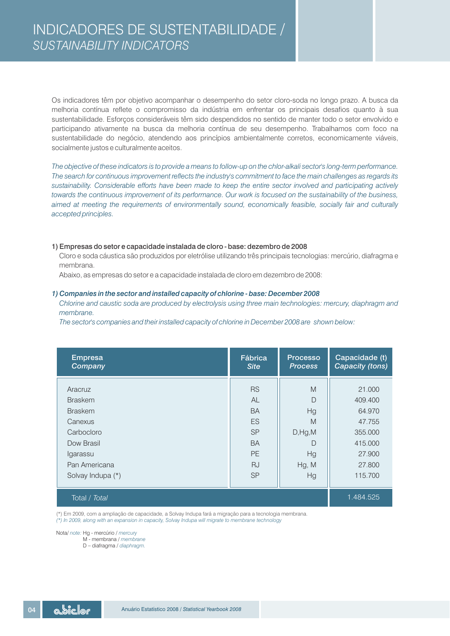Os indicadores têm por objetivo acompanhar o desempenho do setor cloro-soda no longo prazo. A busca da melhoria contínua reflete o compromisso da indústria em enfrentar os principais desafios quanto à sua sustentabilidade. Esforços consideráveis têm sido despendidos no sentido de manter todo o setor envolvido e participando ativamente na busca da melhoria contínua de seu desempenho. Trabalhamos com foco na sustentabilidade do negócio, atendendo aos princípios ambientalmente corretos, economicamente viáveis, socialmente justos e culturalmente aceitos.

*The objective of these indicators is to provide a means to follow-up on the chlor-alkali sector's long-term performance. The search for continuous improvement reflects the industry's commitment to face the main challenges as regards its sustainability. Considerable efforts have been made to keep the entire sector involved and participating actively towards the continuous improvement of its performance. Our work is focused on the sustainability of the business, aimed at meeting the requirements of environmentally sound, economically feasible, socially fair and culturally accepted principles.*

### 1) Empresas do setor e capacidade instalada de cloro - base: dezembro de 2008

Cloro e soda cáustica são produzidos por eletrólise utilizando três principais tecnologias: mercúrio, diafragma e membrana.

Abaixo, as empresas do setor e a capacidade instalada de cloro em dezembro de 2008:

### *1) Companies in the sector and installed capacity of chlorine - base: December 2008*

*Chlorine and caustic soda are produced by electrolysis using three main technologies: mercury, diaphragm and membrane.*

*The sector's companies and their installed capacity of chlorine in December 2008 are shown below:*

| <b>Empresa</b><br>Company | Fábrica<br><b>Site</b> | <b>Processo</b><br><b>Process</b> | Capacidade (t)<br><b>Capacity (tons)</b> |
|---------------------------|------------------------|-----------------------------------|------------------------------------------|
| Aracruz                   | <b>RS</b>              | M                                 | 21.000                                   |
| <b>Braskem</b>            | AL                     | $\Box$                            | 409,400                                  |
| <b>Braskem</b>            | <b>BA</b>              | Hg                                | 64.970                                   |
| Canexus                   | ES                     | M                                 | 47.755                                   |
| Carbocloro                | <b>SP</b>              | D, Hg, M                          | 355,000                                  |
| Dow Brasil                | <b>BA</b>              | D                                 | 415,000                                  |
| Igarassu                  | <b>PE</b>              | Hg                                | 27,900                                   |
| Pan Americana             | <b>RJ</b>              | Hg, M                             | 27,800                                   |
| Solvay Indupa (*)         | <b>SP</b>              | Hg                                | 115,700                                  |
| Total / Total             |                        |                                   | 1.484.525                                |

(\*) Em 2009, com a ampliação de capacidade, a Solvay Indupa fará a migração para a tecnologia membrana. *(\*) In 2009, along with an expansion in capacity, Solvay Indupa will migrate to membrane technology*

Nota/ note: Hg - mercúrio / mercury

 *membrane* M - membrana /

 *diaphragm.* D – diafragma /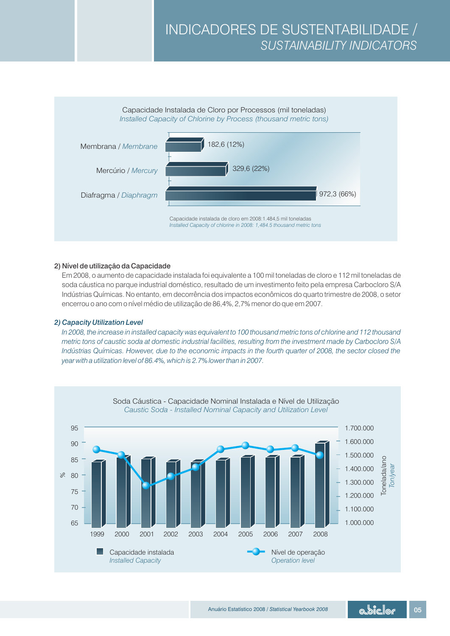

### 2) Nível de utilização da Capacidade

Em 2008, o aumento de capacidade instalada foi equivalente a 100 mil toneladas de cloro e 112 mil toneladas de soda cáustica no parque industrial doméstico, resultado de um investimento feito pela empresa Carbocloro S/A Indústrias Químicas. No entanto, em decorrência dos impactos econômicos do quarto trimestre de 2008, o setor encerrou o ano com o nível médio de utilização de 86,4%, 2,7% menor do que em 2007.

### *2) Capacity Utilization Level*

*In 2008, the increase in installed capacity was equivalent to 100 thousand metric tons of chlorine and 112 thousand metric tons of caustic soda at domestic industrial facilities, resulting from the investment made by Carbocloro S/A Indústrias Químicas. However, due to the economic impacts in the fourth quarter of 2008, the sector closed the year with a utilization level of 86.4%, which is 2.7% lower than in 2007.*

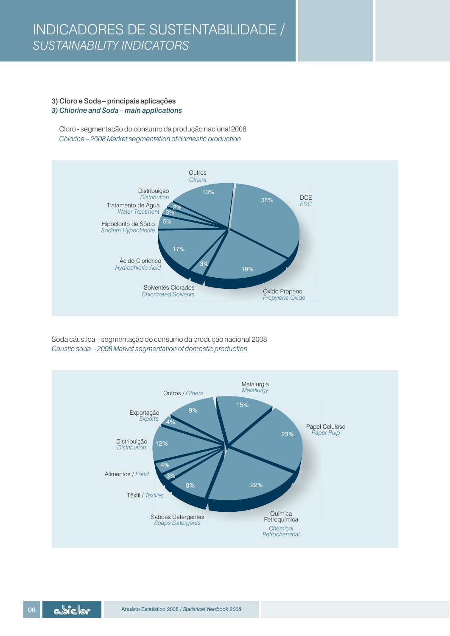### 3) Cloro e Soda – principais aplicações *3) Chlorine and Soda – main applications*

Cloro - segmentação do consumo da produção nacional 2008 *Chlorine – 2008 Market segmentation of domestic production*



Soda cáustica – segmentação do consumo da produção nacional 2008 *Caustic soda – 2008 Market segmentation of domestic production* 

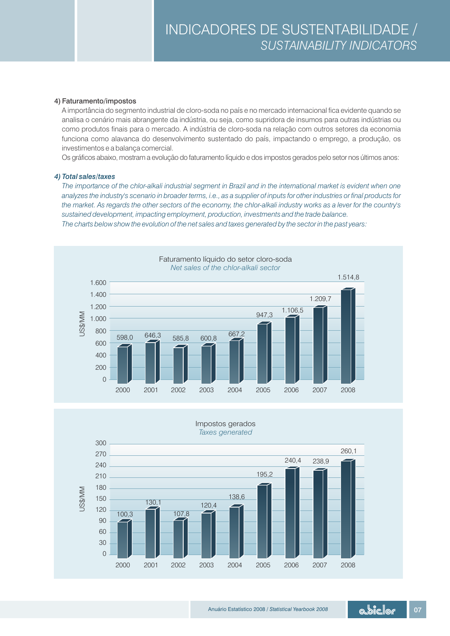### 4) Faturamento/impostos

A importância do segmento industrial de cloro-soda no país e no mercado internacional fica evidente quando se analisa o cenário mais abrangente da indústria, ou seja, como supridora de insumos para outras indústrias ou como produtos finais para o mercado. A indústria de cloro-soda na relação com outros setores da economia funciona como alavanca do desenvolvimento sustentado do país, impactando o emprego, a produção, os investimentos e a balança comercial.

Os gráficos abaixo, mostram a evolução do faturamento líquido e dos impostos gerados pelo setor nos últimos anos:

### *4) Total sales/taxes*

*The importance of the chlor-alkali industrial segment in Brazil and in the international market is evident when one analyzes the industry's scenario in broader terms, i.e., as a supplier of inputs for other industries or final products for the market. As regards the other sectors of the economy, the chlor-alkali industry works as a lever for the country's sustained development, impacting employment, production, investments and the trade balance. The charts below show the evolution of the net sales and taxes generated by the sector in the past years:*



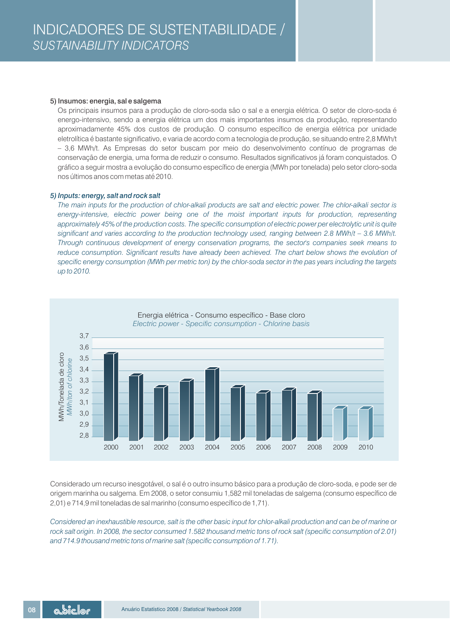### 5) Insumos: energia, sal e salgema

Os principais insumos para a produção de cloro-soda são o sal e a energia elétrica. O setor de cloro-soda é energo-intensivo, sendo a energia elétrica um dos mais importantes insumos da produção, representando aproximadamente 45% dos custos de produção. O consumo específico de energia elétrica por unidade eletrolítica é bastante significativo, e varia de acordo com a tecnologia de produção, se situando entre 2,8 MWh/t – 3,6 MWh/t. As Empresas do setor buscam por meio do desenvolvimento contínuo de programas de conservação de energia, uma forma de reduzir o consumo. Resultados significativos já foram conquistados. O gráfico a seguir mostra a evolução do consumo específico de energia (MWh por tonelada) pelo setor cloro-soda nos últimos anos com metas até 2010.

### *5) Inputs: energy, salt and rock salt*

*The main inputs for the production of chlor-alkali products are salt and electric power. The chlor-alkali sector is energy-intensive, electric power being one of the moist important inputs for production, representing approximately 45% of the production costs. The specific consumption of electric power per electrolytic unit is quite significant and varies according to the production technology used, ranging between 2.8 MWh/t – 3.6 MWh/t. Through continuous development of energy conservation programs, the sector's companies seek means to reduce consumption. Significant results have already been achieved. The chart below shows the evolution of specific energy consumption (MWh per metric ton) by the chlor-soda sector in the pas years including the targets up to 2010.*



Considerado um recurso inesgotável, o sal é o outro insumo básico para a produção de cloro-soda, e pode ser de origem marinha ou salgema. Em 2008, o setor consumiu 1,582 mil toneladas de salgema (consumo específico de 2,01) e 714,9 mil toneladas de sal marinho (consumo específico de 1,71).

*Considered an inexhaustible resource, salt is the other basic input for chlor-alkali production and can be of marine or rock salt origin. In 2008, the sector consumed 1.582 thousand metric tons of rock salt (specific consumption of 2.01) and 714.9 thousand metric tons of marine salt (specific consumption of 1.71).*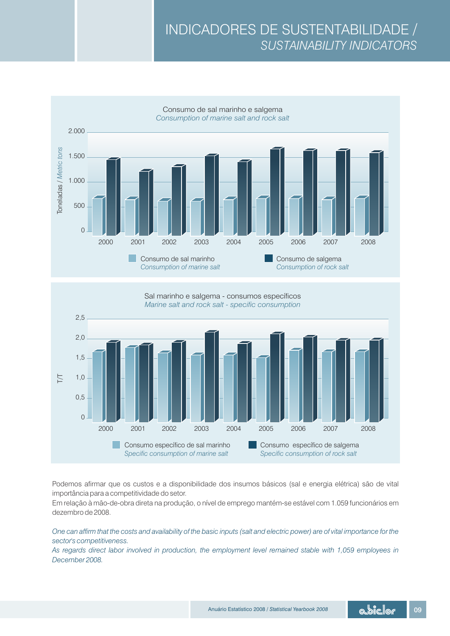



Podemos afirmar que os custos e a disponibilidade dos insumos básicos (sal e energia elétrica) são de vital importância para a competitividade do setor.

Em relação à mão-de-obra direta na produção, o nível de emprego mantém-se estável com 1.059 funcionários em dezembro de 2008.

*One can affirm that the costs and availability of the basic inputs (salt and electric power) are of vital importance for the sector's competitiveness.*

*As regards direct labor involved in production, the employment level remained stable with 1,059 employees in December 2008.*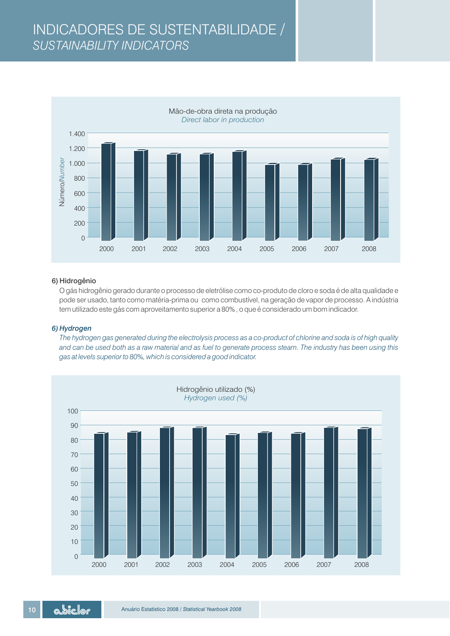### INDICADORES DE SUSTENTABILIDADE / *SUSTAINABILITY INDICATORS*



### 6) Hidrogênio

O gás hidrogênio gerado durante o processo de eletrólise como co-produto de cloro e soda é de alta qualidade e pode ser usado, tanto como matéria-prima ou como combustível, na geração de vapor de processo. A indústria tem utilizado este gás com aproveitamento superior a 80% , o que é considerado um bom indicador.

### *6) Hydrogen*

*The hydrogen gas generated during the electrolysis process as a co-product of chlorine and soda is of high quality and can be used both as a raw material and as fuel to generate process steam. The industry has been using this gas at levels superior to 80%, which is considered a good indicator.*

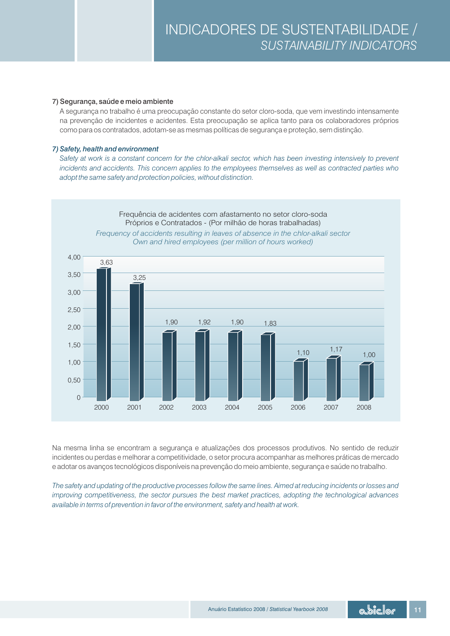### 7) Segurança, saúde e meio ambiente

A segurança no trabalho é uma preocupação constante do setor cloro-soda, que vem investindo intensamente na prevenção de incidentes e acidentes. Esta preocupação se aplica tanto para os colaboradores próprios como para os contratados, adotam-se as mesmas políticas de segurança e proteção, sem distinção.

### *7) Safety, health and environment*

Safety at work is a constant concern for the chlor-alkali sector, which has been investing intensively to prevent *incidents and accidents. This concern applies to the employees themselves as well as contracted parties who adopt the same safety and protection policies, without distinction.*



Na mesma linha se encontram a segurança e atualizações dos processos produtivos. No sentido de reduzir incidentes ou perdas e melhorar a competitividade, o setor procura acompanhar as melhores práticas de mercado e adotar os avanços tecnológicos disponíveis na prevenção do meio ambiente, segurança e saúde no trabalho.

*The safety and updating of the productive processes follow the same lines. Aimed at reducing incidents or losses and improving competitiveness, the sector pursues the best market practices, adopting the technological advances available in terms of prevention in favor of the environment, safety and health at work.*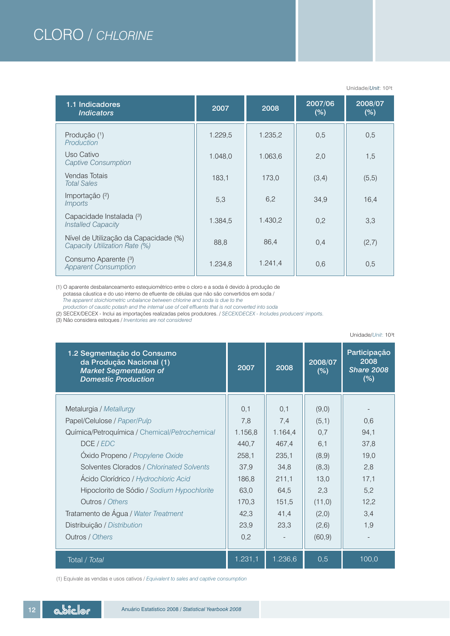## CLORO / *CHLORINE*

| 1.1 Indicadores<br><i><u><b>Indicators</b></u></i>                     | 2007    | 2008    | 2007/06<br>$(\%)$ | 2008/07<br>(%) |
|------------------------------------------------------------------------|---------|---------|-------------------|----------------|
| Produção (1)<br>Production                                             | 1.229,5 | 1.235,2 | 0.5               | 0,5            |
| Uso Cativo<br>Captive Consumption                                      | 1.048,0 | 1.063,6 | 2,0               | 1,5            |
| Vendas Totais<br><b>Total Sales</b>                                    | 183,1   | 173,0   | (3,4)             | (5,5)          |
| Importação $(2)$<br><i>Imports</i>                                     | 5,3     | 6,2     | 34,9              | 16,4           |
| Capacidade Instalada (3)<br><b>Installed Capacity</b>                  | 1.384,5 | 1.430,2 | 0,2               | 3,3            |
| Nível de Utilização da Capacidade (%)<br>Capacity Utilization Rate (%) | 88,8    | 86,4    | 0,4               | (2,7)          |
| Consumo Aparente (3)<br><b>Apparent Consumption</b>                    | 1.234,8 | 1.241,4 | 0.6               | 0,5            |

(1) O aparente desbalanceamento estequiométrico entre o cloro e a soda é devido à produção de potassa cáustica e do uso interno de efluente de células que não são convertidos em soda /  *The apparent stoichiometric unbalance between chlorine and soda is due to the production of caustic potash and the internal use of cell effluents that is not converted into soda*

(2) SECEX/DECEX - Inclui as importações realizadas pelos produtores. / *SECEX/DECEX - Includes producers' imports.*

(3) Não considera estoques / *Inventories are not considered*

| 1.2 Segmentação do Consumo<br>da Produção Nacional (1)<br><b>Market Segmentation of</b><br><b>Domestic Production</b> | 2007     | 2008    | 2008/07<br>$(\%)$ | Participação<br>2008<br><b>Share 2008</b><br>(%) |
|-----------------------------------------------------------------------------------------------------------------------|----------|---------|-------------------|--------------------------------------------------|
| Metalurgia / Metallurgy                                                                                               | 0,1      | 0,1     | (9,0)             |                                                  |
| Papel/Celulose / Paper/Pulp                                                                                           | 7,8      | 7,4     | (5,1)             | 0,6                                              |
| Química/Petroquímica / Chemical/Petrochemical                                                                         | 1.156,8  | 1.164,4 | 0,7               | 94,1                                             |
| DCE / EDC                                                                                                             | 440,7    | 467.4   | 6,1               | 37,8                                             |
| Óxido Propeno / Propylene Oxide                                                                                       | 258,1    | 235,1   | (8,9)             | 19,0                                             |
| Solventes Clorados / Chlorinated Solvents                                                                             | 37,9     | 34,8    | (8,3)             | 2,8                                              |
| Ácido Clorídrico / Hydrochloric Acid                                                                                  | 186,8    | 211,1   | 13,0              | 17,1                                             |
| Hipoclorito de Sódio / Sodium Hypochlorite                                                                            | 63,0     | 64,5    | 2,3               | 5,2                                              |
|                                                                                                                       |          |         |                   |                                                  |
| Outros / Others                                                                                                       | 170,3    | 151,5   | (11,0)            | 12,2                                             |
| Tratamento de Água / Water Treatment                                                                                  | 42,3     | 41,4    | (2,0)             | 3,4                                              |
| Distribuição / Distribution                                                                                           | 23,9     | 23,3    | (2,6)             | 1,9                                              |
| Outros / Others                                                                                                       | 0,2      |         | (60, 9)           |                                                  |
| Total / Total                                                                                                         | 1.231, 1 | 1.236,6 | 0,5               | 100,0                                            |

Unidade/*Unit*: 10³t

Unidade/*Unit*: 10³t

(1) Equivale as vendas e usos cativos / *Equivalent to sales and captive consumption*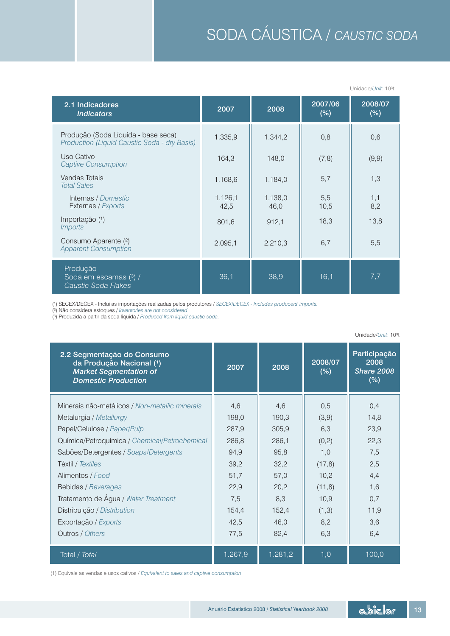# SODA CÁUSTICA / *CAUSTIC SODA*

| 2.1 Indicadores<br><b>Indicators</b>                                                | 2007            | 2008            | 2007/06<br>(%) | 2008/07<br>(%) |
|-------------------------------------------------------------------------------------|-----------------|-----------------|----------------|----------------|
| Produção (Soda Líquida - base seca)<br>Production (Liquid Caustic Soda - dry Basis) | 1.335,9         | 1.344,2         | 0,8            | 0,6            |
| Uso Cativo<br><b>Captive Consumption</b>                                            | 164,3           | 148,0           | (7, 8)         | (9,9)          |
| Vendas Totais<br><b>Total Sales</b>                                                 | 1.168,6         | 1.184,0         | 5,7            | 1,3            |
| Internas / Domestic<br>Externas / Exports                                           | 1.126,1<br>42,5 | 1.138,0<br>46,0 | 5,5<br>10.5    | 1,1<br>8,2     |
| Importação (1)<br><i>Imports</i>                                                    | 801,6           | 912,1           | 18,3           | 13,8           |
| Consumo Aparente (2)<br><b>Apparent Consumption</b>                                 | 2.095.1         | 2.210,3         | 6,7            | 5,5            |
| Produção<br>Soda em escamas (3) /<br>Caustic Soda Flakes                            | 36,1            | 38,9            | 16,1           | 7,7            |

(1) SECEX/DECEX - Inclui as importações realizadas pelos produtores / *S ECEX/DECEX - Includes producers' imports.*

(²) Não considera estoques / *Inventories are not considered*

(³) Produzida a partir da soda líquida */ Produced from liquid caustic soda.*

| 2.2 Segmentação do Consumo<br>da Produção Nacional (1)<br><b>Market Segmentation of</b><br><b>Domestic Production</b> | 2007    | 2008    | 2008/07<br>(%) | Participação<br>2008<br><b>Share 2008</b><br>(%) |
|-----------------------------------------------------------------------------------------------------------------------|---------|---------|----------------|--------------------------------------------------|
| Minerais não-metálicos / Non-metallic minerals                                                                        | 4,6     | 4,6     | 0,5            | 0,4                                              |
| Metalurgia / Metallurgy                                                                                               | 198,0   | 190,3   | (3,9)          | 14,8                                             |
| Papel/Celulose / Paper/Pulp                                                                                           | 287,9   | 305,9   | 6,3            | 23,9                                             |
| Química/Petroquímica / Chemical/Petrochemical                                                                         | 286,8   | 286,1   | (0,2)          | 22,3                                             |
| Sabões/Detergentes / Soaps/Detergents                                                                                 | 94.9    | 95,8    | 1,0            | 7,5                                              |
| Têxtil / Textiles                                                                                                     | 39,2    | 32,2    | (17,8)         | 2,5                                              |
| Alimentos / Food                                                                                                      | 51,7    | 57,0    | 10.2           | 4,4                                              |
| Bebidas / Beverages                                                                                                   | 22,9    | 20,2    | (11,8)         | 1,6                                              |
| Tratamento de Água / Water Treatment                                                                                  | 7,5     | 8,3     | 10.9           | 0,7                                              |
| Distribuição / Distribution                                                                                           | 154,4   | 152,4   | (1,3)          | 11,9                                             |
| Exportação / Exports                                                                                                  | 42,5    | 46,0    | 8,2            | 3,6                                              |
| Outros / Others                                                                                                       | 77,5    | 82,4    | 6,3            | 6,4                                              |
| Total / Total                                                                                                         | 1.267,9 | 1.281,2 | 1,0            | 100,0                                            |

(1) Equivale as vendas e usos cativos / *Equivalent to sales and captive consumption*

Unidade/*Unit*: 10³t

Unidade/*Unit*: 10³t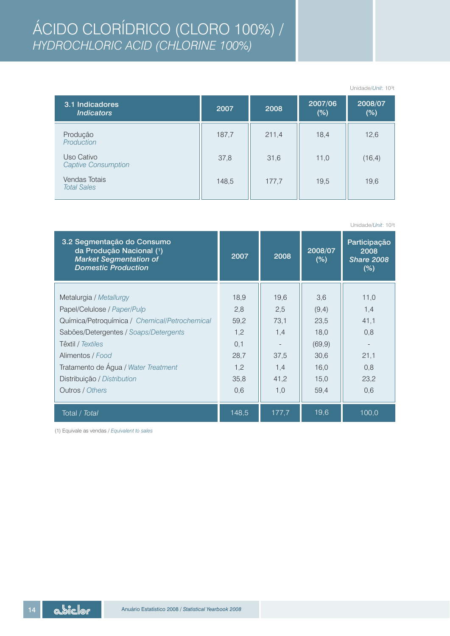## ÁCIDO CLORÍDRICO (CLORO 100%) / *HYDROCHLORIC ACID (CHLORINE 100%)*

|                                          |       |       |                | Unidade/ <i>Unit</i> : 10 <sup>3</sup> t |
|------------------------------------------|-------|-------|----------------|------------------------------------------|
| 3.1 Indicadores<br><b>Indicators</b>     | 2007  | 2008  | 2007/06<br>(%) | 2008/07<br>$(\%)$                        |
| Produção<br>Production                   | 187,7 | 211,4 | 18,4           | 12,6                                     |
| Uso Cativo<br><b>Captive Consumption</b> | 37,8  | 31,6  | 11,0           | (16, 4)                                  |
| Vendas Totais<br><b>Total Sales</b>      | 148,5 | 177,7 | 19,5           | 19,6                                     |

|                                                                                                                       |       |       |                | Unidade/Unit: 10 <sup>3t</sup>                   |
|-----------------------------------------------------------------------------------------------------------------------|-------|-------|----------------|--------------------------------------------------|
| 3.2 Segmentação do Consumo<br>da Produção Nacional (1)<br><b>Market Segmentation of</b><br><b>Domestic Production</b> | 2007  | 2008  | 2008/07<br>(%) | Participação<br>2008<br><b>Share 2008</b><br>(%) |
|                                                                                                                       |       |       |                |                                                  |
| Metalurgia / Metallurgy                                                                                               | 18,9  | 19,6  | 3,6            | 11,0                                             |
| Papel/Celulose / Paper/Pulp                                                                                           | 2,8   | 2,5   | (9,4)          | 1,4                                              |
| Química/Petroquímica / Chemical/Petrochemical                                                                         | 59,2  | 73,1  | 23,5           | 41,1                                             |
| Sabões/Detergentes / Soaps/Detergents                                                                                 | 1,2   | 1,4   | 18,0           | 0,8                                              |
| Têxtil / Textiles                                                                                                     | 0,1   |       | (69, 9)        |                                                  |
| Alimentos / Food                                                                                                      | 28,7  | 37,5  | 30,6           | 21,1                                             |
| Tratamento de Água / Water Treatment                                                                                  | 1,2   | 1,4   | 16,0           | 0,8                                              |
| Distribuição / Distribution                                                                                           | 35,8  | 41,2  | 15.0           | 23,2                                             |
| Outros / Others                                                                                                       | 0,6   | 1,0   | 59,4           | 0,6                                              |
| Total / Total                                                                                                         | 148,5 | 177,7 | 19,6           | 100,0                                            |

(1) Equivale as vendas / *Equivalent to sales*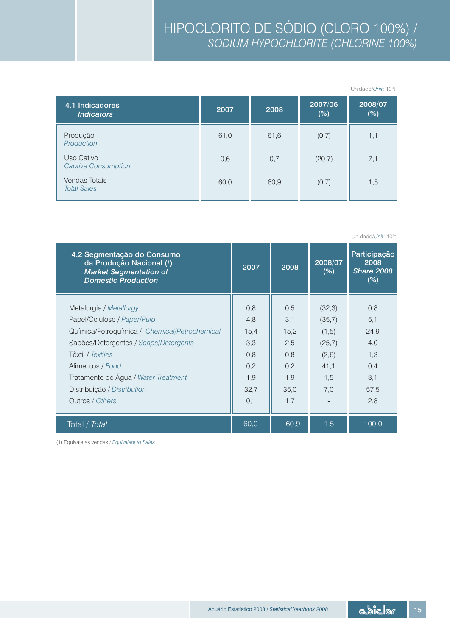|                                          |      |      |                | Unidade/ <i>Unit</i> : 10 <sup>3</sup> t |
|------------------------------------------|------|------|----------------|------------------------------------------|
| 4.1 Indicadores<br><b>Indicators</b>     | 2007 | 2008 | 2007/06<br>(%) | 2008/07<br>$(\%)$                        |
| Produção<br>Production                   | 61,0 | 61,6 | (0,7)          | 1,1                                      |
| Uso Cativo<br><b>Captive Consumption</b> | 0,6  | 0,7  | (20,7)         | 7,1                                      |
| Vendas Totais<br><b>Total Sales</b>      | 60,0 | 60,9 | (0,7)          | 1,5                                      |

| 4.2 Segmentação do Consumo<br>da Produção Nacional (1)<br><b>Market Segmentation of</b><br><b>Domestic Production</b> | 2007 | 2008 | 2008/07<br>(%) | Participação<br>2008<br><b>Share 2008</b><br>$(\% )$ |
|-----------------------------------------------------------------------------------------------------------------------|------|------|----------------|------------------------------------------------------|
| Metalurgia / Metallurgy                                                                                               | 0,8  | 0.5  | (32,3)         | 0,8                                                  |
| Papel/Celulose / Paper/Pulp                                                                                           | 4,8  | 3,1  | (35,7)         | 5,1                                                  |
| Química/Petroquímica / Chemical/Petrochemical                                                                         | 15,4 | 15,2 | (1,5)          | 24,9                                                 |
| Sabões/Detergentes / Soaps/Detergents                                                                                 | 3,3  | 2,5  | (25,7)         | 4,0                                                  |
| Têxtil / Textiles                                                                                                     | 0,8  | 0.8  | (2,6)          | 1,3                                                  |
| Alimentos / Food                                                                                                      | 0,2  | 0.2  | 41.1           | 0,4                                                  |
| Tratamento de Água / Water Treatment                                                                                  | 1,9  | 1,9  | 1,5            | 3,1                                                  |
| Distribuição / Distribution                                                                                           | 32,7 | 35,0 | 7,0            | 57,5                                                 |
| Outros / Others                                                                                                       | 0,1  | 1,7  |                | 2,8                                                  |
| Total / Total                                                                                                         | 60,0 | 60,9 | 1,5            | 100,0                                                |

(1) Equivale as vendas / *Equivalent to Sales*

Unidade/*Unit*: 10³t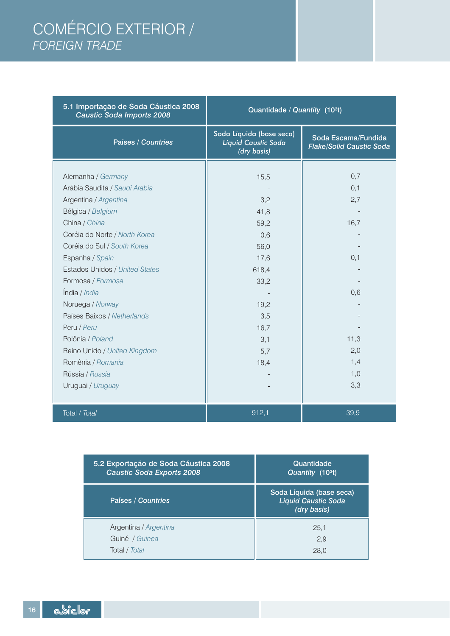## COMÉRCIO EXTERIOR / *FOREIGN TRADE*

| 5.1 Importação de Soda Cáustica 2008<br><b>Caustic Soda Imports 2008</b> | Quantidade / Quantity (10 <sup>3t</sup> )                      |                                                        |
|--------------------------------------------------------------------------|----------------------------------------------------------------|--------------------------------------------------------|
| Países / Countries                                                       | Soda Líquida (base seca)<br>Liquid Caustic Soda<br>(dry basis) | Soda Escama/Fundida<br><b>Flake/Solid Caustic Soda</b> |
|                                                                          |                                                                |                                                        |
| Alemanha / Germany                                                       | 15,5                                                           | 0,7                                                    |
| Arábia Saudita / Saudi Arabia                                            |                                                                | 0,1                                                    |
| Argentina / Argentina                                                    | 3,2                                                            | 2,7                                                    |
| Bélgica / Belgium                                                        | 41,8                                                           |                                                        |
| China / China                                                            | 59,2                                                           | 16,7                                                   |
| Coréia do Norte / North Korea                                            | 0,6                                                            |                                                        |
| Coréia do Sul / South Korea                                              | 56,0                                                           |                                                        |
| Espanha / Spain                                                          | 17,6                                                           | 0,1                                                    |
| <b>Estados Unidos / United States</b>                                    | 618,4                                                          |                                                        |
| Formosa / Formosa                                                        | 33,2                                                           |                                                        |
| India / India                                                            |                                                                | 0,6                                                    |
| Noruega / Norway                                                         | 19,2                                                           |                                                        |
| Países Baixos / Netherlands                                              | 3,5                                                            |                                                        |
| Peru / Peru                                                              | 16,7                                                           |                                                        |
| Polônia / Poland                                                         | 3,1                                                            | 11,3                                                   |
| Reino Unido / United Kingdom                                             | 5,7                                                            | 2,0                                                    |
| Romênia / Romania                                                        | 18,4                                                           | 1,4                                                    |
| Rússia / Russia                                                          |                                                                | 1,0                                                    |
| Uruguai / Uruguay                                                        |                                                                | 3,3                                                    |
|                                                                          |                                                                |                                                        |
| Total / Total                                                            | 912,1                                                          | 39,9                                                   |

| 5.2 Exportação de Soda Cáustica 2008 | Quantidade                                                            |
|--------------------------------------|-----------------------------------------------------------------------|
| <b>Caustic Soda Exports 2008</b>     | Quantity (10 <sup>3t</sup> )                                          |
| Países / Countries                   | Soda Líquida (base seca)<br><b>Liquid Caustic Soda</b><br>(dry basis) |
| Argentina / Argentina                | 25.1                                                                  |
| Guiné / Guinea                       | 2,9                                                                   |
| Total / Total                        | 28.0                                                                  |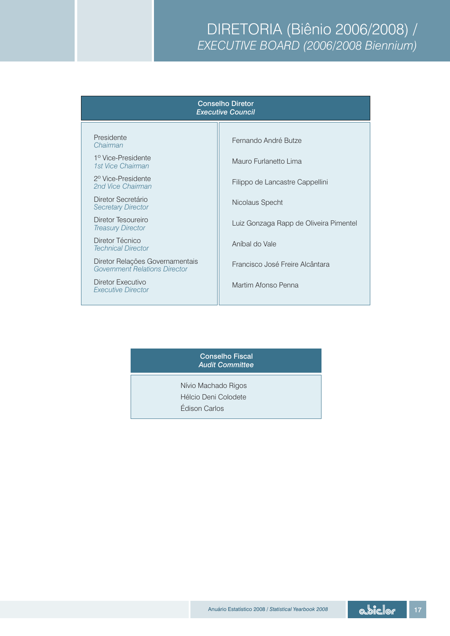### DIRETORIA (Biênio 2006/2008) / *EXECUTIVE BOARD (2006/2008 Biennium)*

### Conselho Diretor *Executive Council*

Presidente *Chairman*

1º Vice-Presidente *1st Vice Chairman*

2º Vice-Presidente *2nd Vice Chairman*

Diretor Secretário *Secretary Director*

Diretor Tesoureiro *Treasury Director*

Diretor Técnico *Technical Director* 

Diretor Relações Governamentais *Government Relations Director*

Diretor Executivo *Executive Director* Fernando André Butze

Mauro Furlanetto Lima

Filippo de Lancastre Cappellini

Nicolaus Specht

Luiz Gonzaga Rapp de Oliveira Pimentel

Aníbal do Vale

Francisco José Freire Alcântara

Martim Afonso Penna

### Conselho Fiscal *Audit Committee*

Nívio Machado Rigos Hélcio Deni Colodete Édison Carlos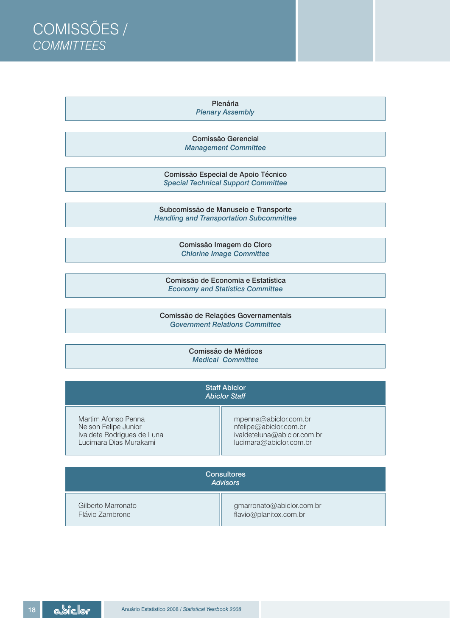COMISSÕES / *COMMITTEES*

> Plenária *Plenary Assembly*

Comissão Gerencial *Management Committee*

Comissão Especial de Apoio Técnico *Special Technical Support Committee*

Subcomissão de Manuseio e Transporte *Handling and Transportation Subcommittee*

> Comissão Imagem do Cloro *Chlorine Image Committee*

Comissão de Economia e Estatística *Economy and Statistics Committee*

Comissão de Relações Governamentais *Government Relations Committee*

> Comissão de Médicos *Medical Committee*

| <b>Staff Abiclor</b><br><b>Abiclor Staff</b> |                             |  |
|----------------------------------------------|-----------------------------|--|
| Martim Afonso Penna                          | mpenna@abiclor.com.br       |  |
| Nelson Felipe Junior                         | nfelipe@abiclor.com.br      |  |
| Ivaldete Rodrigues de Luna                   | ivaldeteluna@abiclor.com.br |  |
| Lucimara Dias Murakami                       | lucimara@abiclor.com.br     |  |

| <b>Consultores</b><br><b>Advisors</b> |                           |  |
|---------------------------------------|---------------------------|--|
| Gilberto Marronato                    | gmarronato@abiclor.com.br |  |
| Flávio Zambrone                       | flavio@planitox.com.br    |  |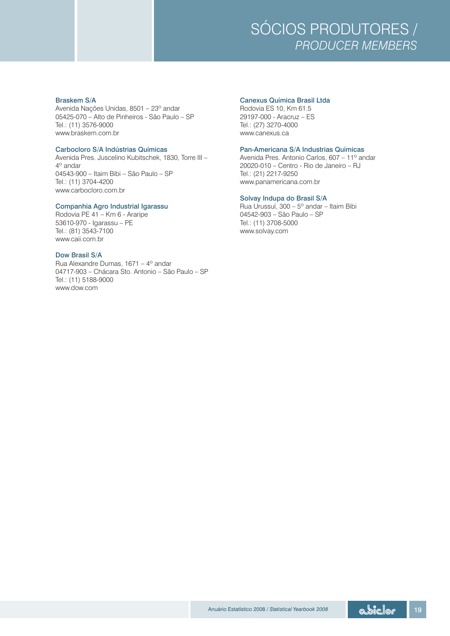

Braskem S/A Canexus Química Brasil Ltda Avenida Nações Unidas, 8501 – 23º andar <br>05425-070 – Alto de Pinheiros - São Paulo – SP (29197-000 - Aracruz – ES 05425-070 – Alto de Pinheiros - São Paulo – SP Tel.: (11) 3576-9000 Tel.: (27) 3270-4000 www.braskem.com.br www.canexus.ca

Avenida Pres. Juscelino Kubitschek, 1830, Torre III – 4º andar 04543-900 – Itaim Bibi – São Paulo – SP Tel.: (21) 2217-9250 Tel.: (11) 3704-4200 www.panamericana.com.br www.carbocloro.com.br

### Companhia Agro Industrial Igarassu

Rodovia PE 41 – Km 6 - Araripe 04542-903 – São Paulo – SP 53610-970 - Igarassu - PE Tel.: (81) 3543-7100 www.solvay.com www.caii.com.br

### Dow Brasil S/A

Rua Alexandre Dumas, 1671 – 4º andar 04717-903 – Chácara Sto. Antonio – São Paulo – SP Tel.: (11) 5188-9000 www.dow.com

Carbocloro S/A Indústrias Químicas<br>Avenida Pres. Juscelino Kubitschek. 1830. Torre III - Pan-Americana S/A Industrias Químicas  $20020-010$  – Centro - Rio de Janeiro – RJ

### Solvay Indupa do Brasil S/A

Rua Urussuí, 300 – 5º andar – Itaim Bibi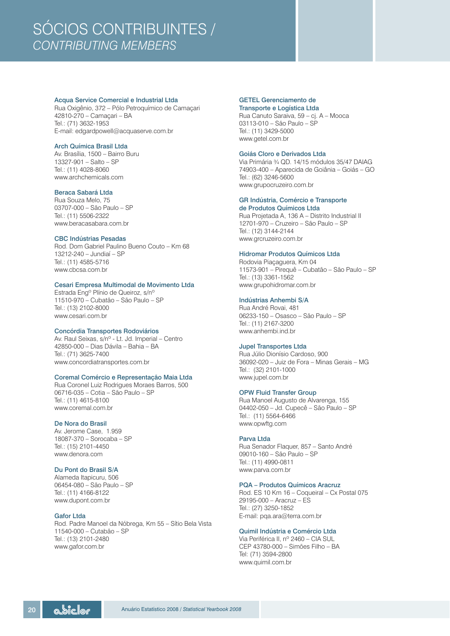### SÓCIOS CONTRIBUINTES / *CONTRIBUTING MEMBERS*

### Acqua Service Comercial e Industrial Ltda GETEL Gerenciamento de

Rua Oxigênio, 372 – Pólo Petroquímico de Camaçari 42810-270 – Camaçari – BA Rua Canuto Saraiva, 59 – cj. A – Mooca E-mail: edgardpowell@acquaserve.com.br Tel.: (11) 3429-5000

### Arch Química Brasil Ltda

Av. Brasília, 1500 – Bairro Buru www.archchemicals.com Tel.: (62) 3246-5600

### Beraca Sabará Ltda

Rua Souza Melo, 75 03707-000 – São Paulo – SP

#### CBC Indústrias Pesadas

Rod. Dom Gabriel Paulino Bueno Couto – Km 68 13212-240 – Jundiaí – SP Tel.: (11) 4585-5716<br>
www.cbcsa.com.br<br>
11573-901 – Pirequê – Cuba

### Cesari Empresa Multimodal de Movimento Ltda

Estrada Engº Plínio de Queiroz, s/nº 11510-970 – Cubatão – São Paulo – SP Tel.: (13) 2102-8000 www.cesari.com.br 06233-150 – Osasco – São Paulo – SP

### Concórdia Transportes Rodoviários

Av. Raul Seixas, s/nº - Lt. Jd. Imperial – Centro 42850-000 – Dias Dávila – Bahia – BA Tel.: (71) 3625-7400 Rua Júlio Dionísio Cardoso, 900

### Coremal Comércio e Representação Maia Ltda

Rua Coronel Luiz Rodrigues Moraes Barros, 500 06716-035 – Cotia – São Paulo – SP

#### De Nora do Brasil

Av. Jerome Case, 1.959 18087-370 – Sorocaba – SP

### Du Pont do Brasil S/A

Alameda Itapicuru, 506 06454-080 – São Paulo – SP www.dupont.com.br 29195-000 – Aracruz – ES

### Gafor Ltda

Rod. Padre Manoel da Nóbrega, Km 55 – Sítio Bela Vista 11540-000 – Cutabão – SP Tel.: (13) 2101-2480 Via Periférica II, nº 2460 – CIA SUL www.gafor.com.br CEP 43780-000 – Simões Filho – BA

### Transporte e Logística Ltda

03113-010 – São Paulo – SP www.getel.com.br

#### Goiás Cloro e Derivados Ltda

13327-901 – Salto – SP Via Primária ¾ QD. 14/15 módulos 35/47 DAIAG 74903-400 – Aparecida de Goiânia – Goiás – GO www.grupocruzeiro.com.br

#### GR Indústria, Comércio e Transporte de Produtos Químicos Ltda

Tel.: (11) 5506-2322 Rua Projetada A, 136 A – Distrito Industrial II www.beracasabara.com.br 12701-970 – Cruzeiro – São Paulo – SP Tel.: (12) 3144-2144 www.grcruzeiro.com.br

### Hidromar Produtos Químicos Ltda

11573-901 – Pirequê – Cubatão – São Paulo – SP Tel.: (13) 3361-1562 www.grupohidromar.com.br

### **Indústrias Anhembi S/A**<br>Rua André Rovai, 481

Tel.: (11) 2167-3200 www.anhembi.ind.br

### Jupel Transportes Ltda

www.concordiatransportes.com.br 36092-020 – Juiz de Fora – Minas Gerais – MG Tel.: (32) 2101-1000 www.jupel.com.br

#### OPW Fluid Transfer Group

Rua Manoel Augusto de Alvarenga, 155 www.coremal.com.br 04402-050 – Jd. Cupecê – São Paulo – SP Tel.: (11) 5564-6466 www.opwftg.com

#### Parva Ltda

Tel.: (15) 2101-4450 Rua Senador Flaquer, 857 – Santo André 09010-160 – São Paulo – SP Tel.: (11) 4990-0811 www.parva.com.br

### PQA – Produtos Químicos Aracruz

Tel.: (11) 4166-8122 Rod. ES 10 Km 16 – Coqueiral – Cx Postal 075 Tel.: (27) 3250-1852 E-mail: pqa.ara@terra.com.br

### Quimil Indústria e Comércio Ltda

Tel: (71) 3594-2800 www.quimil.com.br

*<u>a biclor</u>* 20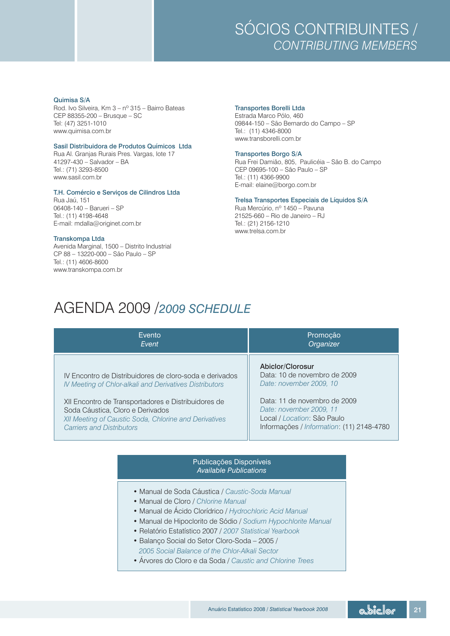### SÓCIOS CONTRIBUINTES / *CONTRIBUTING MEMBERS*

#### Quimisa S/A

Rod. Ivo Silveira, Km 3 – nº 315 – Bairro Bateas CEP 88355-200 – Brusque – SC Estrada Marco Pólo, 460 www.quimisa.com.br Tel.: (11) 4346-8000

### Sasil Distribuidora de Produtos Químicos Ltda

Rua Al. Granjas Rurais Pres. Vargas, lote 17 www.sasil.com.br Tel.: (11) 4366-9900

### T.H. Comércio e Serviços de Cilindros Ltda

Rua Jaú, 151<br>06408-140 – Barueri – SP Tel.: (11) 4198-4648 21525-660 – Rio de Janeiro – RJ E-mail: mdalla@originet.com.br Tel.: (21) 2156-1210

#### Transkompa Ltda

Avenida Marginal, 1500 – Distrito Industrial CP 88 – 13220-000 – São Paulo – SP Tel.: (11) 4606-8600 www.transkompa.com.br

### Transportes Borelli Ltda

09844-150 – São Bernardo do Campo – SP www.transborelli.com.br

#### Transportes Borgo S/A

41297-430 – Salvador – BA Rua Frei Damião, 805, Paulicéia – São B. do Campo CEP 09695-100 – São Paulo – SP E-mail: elaine@borgo.com.br

### Trelsa Transportes Especiais de Líquidos S/A

Rua Mercúrio, nº 1450 – Pavuna www.trelsa.com.br

### AGENDA 2009 /*2009 SCHEDULE*

| Evento<br>Event                                                                                                                                                                                                                                                        | Promocão<br>Organizer                                                                                                                                                 |
|------------------------------------------------------------------------------------------------------------------------------------------------------------------------------------------------------------------------------------------------------------------------|-----------------------------------------------------------------------------------------------------------------------------------------------------------------------|
| IV Encontro de Distribuidores de cloro-soda e derivados<br>IV Meeting of Chlor-alkali and Derivatives Distributors<br>XII Encontro de Transportadores e Distribuidores de<br>Soda Cáustica, Cloro e Derivados<br>XII Meeting of Caustic Soda, Chlorine and Derivatives | Abiclor/Clorosur<br>Data: 10 de novembro de 2009<br>Date: november 2009, 10<br>Data: 11 de novembro de 2009<br>Date: november 2009, 11<br>Local / Location: São Paulo |
| <b>Carriers and Distributors</b>                                                                                                                                                                                                                                       | Informações / Information: (11) 2148-4780                                                                                                                             |

### Publicações Disponíveis *Available Publications*

- Manual de Soda Cáustica / *Caustic-Soda Manual*
- Manual de Cloro / *Chlorine Manual*
- Manual de Ácido Clorídrico / *Hydrochloric Acid Manual*
- Manual de Hipoclorito de Sódio / *Sodium Hypochlorite Manual*
- Relatório Estatístico 2007 / *2007 Statistical Yearbook*
- Balanço Social do Setor Cloro-Soda 2005 / *2005 Social Balance of the Chlor-Alkali Sector*
- Árvores do Cloro e da Soda / *Caustic and Chlorine Trees*